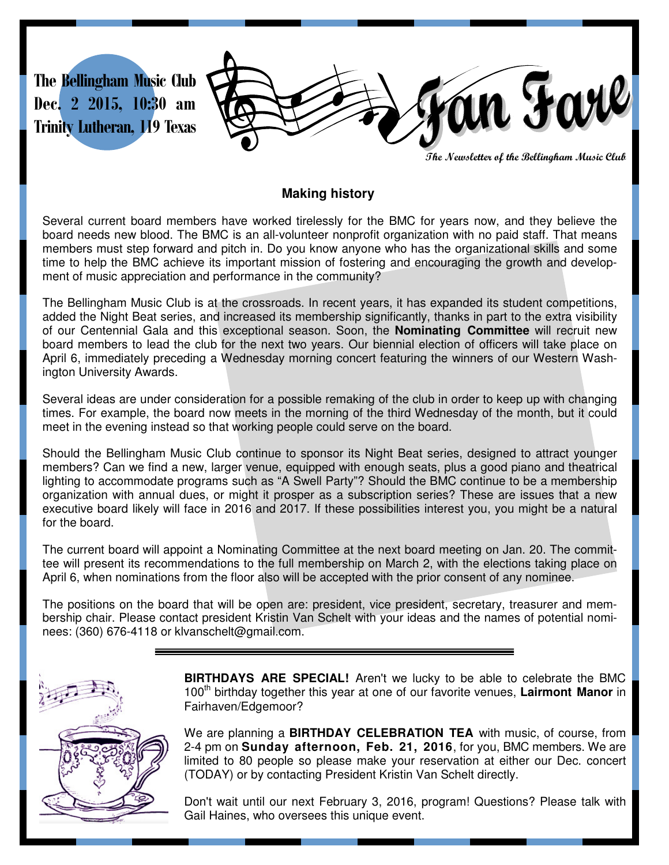

**The Newsletter of the Bellingham Music Club** 

#### **Making history**

Several current board members have worked tirelessly for the BMC for years now, and they believe the board needs new blood. The BMC is an all-volunteer nonprofit organization with no paid staff. That means members must step forward and pitch in. Do you know anyone who has the organizational skills and some time to help the BMC achieve its important mission of fostering and encouraging the growth and development of music appreciation and performance in the community?

The Bellingham Music Club is at the crossroads. In recent years, it has expanded its student competitions, added the Night Beat series, and increased its membership significantly, thanks in part to the extra visibility of our Centennial Gala and this exceptional season. Soon, the **Nominating Committee** will recruit new board members to lead the club for the next two years. Our biennial election of officers will take place on April 6, immediately preceding a Wednesday morning concert featuring the winners of our Western Washington University Awards.

Several ideas are under consideration for a possible remaking of the club in order to keep up with changing times. For example, the board now meets in the morning of the third Wednesday of the month, but it could meet in the evening instead so that working people could serve on the board.

Should the Bellingham Music Club continue to sponsor its Night Beat series, designed to attract younger members? Can we find a new, larger venue, equipped with enough seats, plus a good piano and theatrical lighting to accommodate programs such as "A Swell Party"? Should the BMC continue to be a membership organization with annual dues, or might it prosper as a subscription series? These are issues that a new executive board likely will face in 2016 and 2017. If these possibilities interest you, you might be a natural for the board.

The current board will appoint a Nominating Committee at the next board meeting on Jan. 20. The committee will present its recommendations to the full membership on March 2, with the elections taking place on April 6, when nominations from the floor also will be accepted with the prior consent of any nominee.

The positions on the board that will be open are: president, vice president, secretary, treasurer and membership chair. Please contact president Kristin Van Schelt with your ideas and the names of potential nominees: (360) 676-4118 or klvanschelt@gmail.com.



**BIRTHDAYS ARE SPECIAL!** Aren't we lucky to be able to celebrate the BMC 100th birthday together this year at one of our favorite venues, **Lairmont Manor** in Fairhaven/Edgemoor?

We are planning a **BIRTHDAY CELEBRATION TEA** with music, of course, from 2-4 pm on **Sunday afternoon, Feb. 21, 2016**, for you, BMC members. We are limited to 80 people so please make your reservation at either our Dec. concert (TODAY) or by contacting President Kristin Van Schelt directly.

Don't wait until our next February 3, 2016, program! Questions? Please talk with Gail Haines, who oversees this unique event.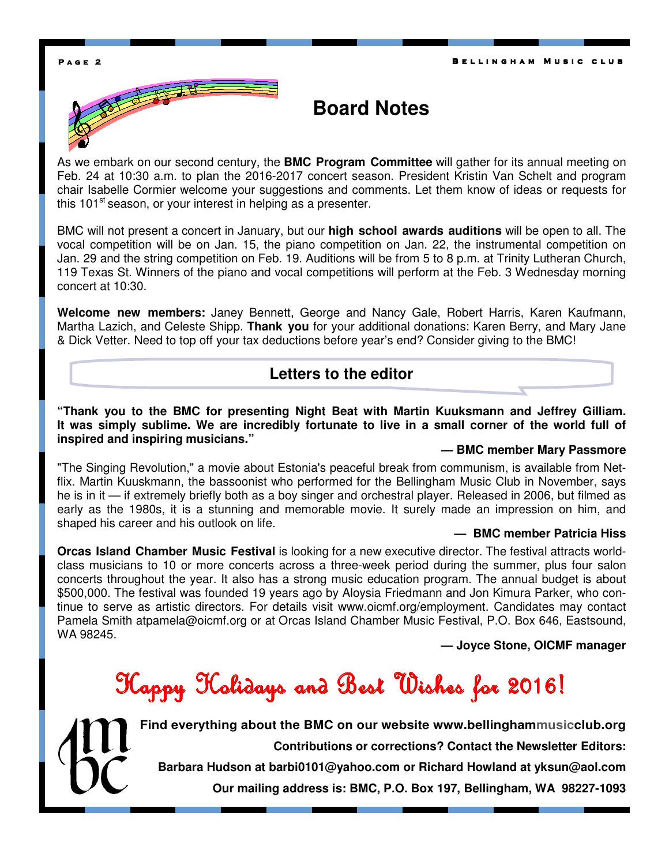### **Board Notes**

As we embark on our second century, the **BMC Program Committee** will gather for its annual meeting on Feb. 24 at 10:30 a.m. to plan the 2016-2017 concert season. President Kristin Van Schelt and program chair Isabelle Cormier welcome your suggestions and comments. Let them know of ideas or requests for this  $101<sup>st</sup>$  season, or your interest in helping as a presenter.

BMC will not present a concert in January, but our **high school awards auditions** will be open to all. The vocal competition will be on Jan. 15, the piano competition on Jan. 22, the instrumental competition on Jan. 29 and the string competition on Feb. 19. Auditions will be from 5 to 8 p.m. at Trinity Lutheran Church, 119 Texas St. Winners of the piano and vocal competitions will perform at the Feb. 3 Wednesday morning concert at 10:30.

**Welcome new members:** Janey Bennett, George and Nancy Gale, Robert Harris, Karen Kaufmann, Martha Lazich, and Celeste Shipp. **Thank you** for your additional donations: Karen Berry, and Mary Jane & Dick Vetter. Need to top off your tax deductions before year's end? Consider giving to the BMC!

#### **Letters to the editor**

**"Thank you to the BMC for presenting Night Beat with Martin Kuuksmann and Jeffrey Gilliam. It was simply sublime. We are incredibly fortunate to live in a small corner of the world full of inspired and inspiring musicians."** 

#### **— BMC member Mary Passmore**

"The Singing Revolution," a movie about Estonia's peaceful break from communism, is available from Netflix. Martin Kuuskmann, the bassoonist who performed for the Bellingham Music Club in November, says he is in it — if extremely briefly both as a boy singer and orchestral player. Released in 2006, but filmed as early as the 1980s, it is a stunning and memorable movie. It surely made an impression on him, and shaped his career and his outlook on life.

#### **— BMC member Patricia Hiss**

**Orcas Island Chamber Music Festival** is looking for a new executive director. The festival attracts worldclass musicians to 10 or more concerts across a three-week period during the summer, plus four salon concerts throughout the year. It also has a strong music education program. The annual budget is about \$500,000. The festival was founded 19 years ago by Aloysia Friedmann and Jon Kimura Parker, who continue to serve as artistic directors. For details visit www.oicmf.org/employment. Candidates may contact Pamela Smith atpamela@oicmf.org or at Orcas Island Chamber Music Festival, P.O. Box 646, Eastsound, WA 98245.

 **— Joyce Stone, OICMF manager** 

Happy Holidays and Best Wishes for 2016! Happy Holidays and Best Wishes for 2016! Holidays and Best Wishes



**Find everything about the BMC on our website www.bellinghammusicclub.org Contributions or corrections? Contact the Newsletter Editors: Barbara Hudson at barbi0101@yahoo.com or Richard Howland at yksun@aol.com** 

**Our mailing address is: BMC, P.O. Box 197, Bellingham, WA 98227-1093**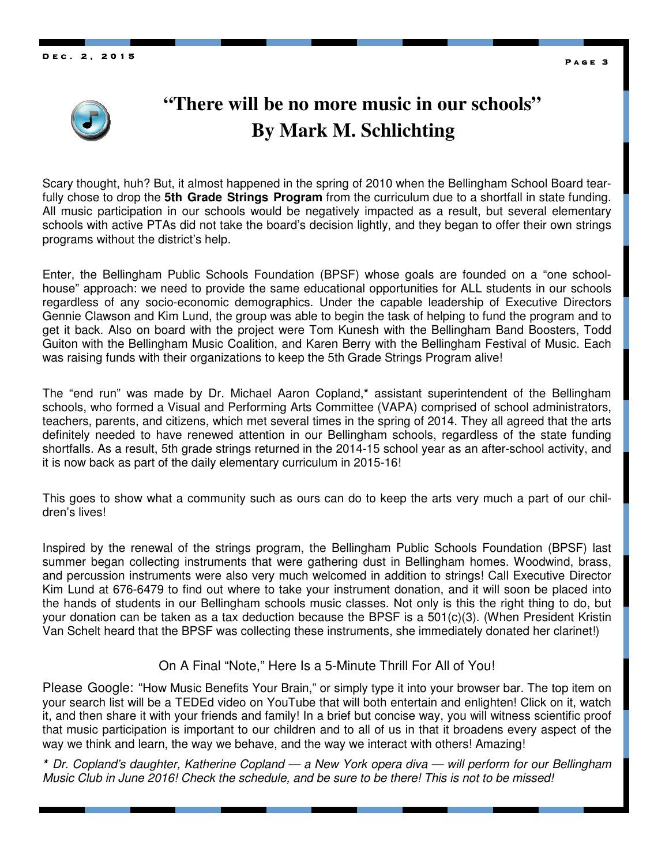**D e c . 2 , 2 0 1 5 2 0 1** 



### **"There will be no more music in our schools" By Mark M. Schlichting**

Scary thought, huh? But, it almost happened in the spring of 2010 when the Bellingham School Board tearfully chose to drop the **5th Grade Strings Program** from the curriculum due to a shortfall in state funding. All music participation in our schools would be negatively impacted as a result, but several elementary schools with active PTAs did not take the board's decision lightly, and they began to offer their own strings programs without the district's help.

Enter, the Bellingham Public Schools Foundation (BPSF) whose goals are founded on a "one schoolhouse" approach: we need to provide the same educational opportunities for ALL students in our schools regardless of any socio-economic demographics. Under the capable leadership of Executive Directors Gennie Clawson and Kim Lund, the group was able to begin the task of helping to fund the program and to get it back. Also on board with the project were Tom Kunesh with the Bellingham Band Boosters, Todd Guiton with the Bellingham Music Coalition, and Karen Berry with the Bellingham Festival of Music. Each was raising funds with their organizations to keep the 5th Grade Strings Program alive!

The "end run" was made by Dr. Michael Aaron Copland,**\*** assistant superintendent of the Bellingham schools, who formed a Visual and Performing Arts Committee (VAPA) comprised of school administrators, teachers, parents, and citizens, which met several times in the spring of 2014. They all agreed that the arts definitely needed to have renewed attention in our Bellingham schools, regardless of the state funding shortfalls. As a result, 5th grade strings returned in the 2014-15 school year as an after-school activity, and it is now back as part of the daily elementary curriculum in 2015-16!

This goes to show what a community such as ours can do to keep the arts very much a part of our children's lives!

Inspired by the renewal of the strings program, the Bellingham Public Schools Foundation (BPSF) last summer began collecting instruments that were gathering dust in Bellingham homes. Woodwind, brass, and percussion instruments were also very much welcomed in addition to strings! Call Executive Director Kim Lund at 676-6479 to find out where to take your instrument donation, and it will soon be placed into the hands of students in our Bellingham schools music classes. Not only is this the right thing to do, but your donation can be taken as a tax deduction because the BPSF is a 501(c)(3). (When President Kristin Van Schelt heard that the BPSF was collecting these instruments, she immediately donated her clarinet!)

#### On A Final "Note," Here Is a 5-Minute Thrill For All of You!

Please Google: "How Music Benefits Your Brain," or simply type it into your browser bar. The top item on your search list will be a TEDEd video on YouTube that will both entertain and enlighten! Click on it, watch it, and then share it with your friends and family! In a brief but concise way, you will witness scientific proof that music participation is important to our children and to all of us in that it broadens every aspect of the way we think and learn, the way we behave, and the way we interact with others! Amazing!

**\*** Dr. Copland's daughter, Katherine Copland — a New York opera diva — will perform for our Bellingham Music Club in June 2016! Check the schedule, and be sure to be there! This is not to be missed!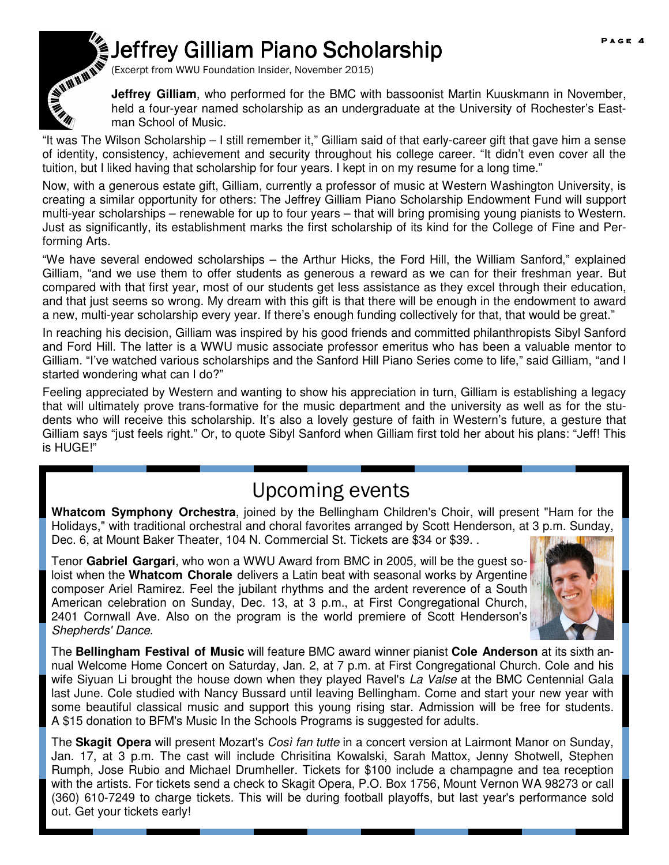# Jeffrey Gilliam Piano Scholarship



(Excerpt from WWU Foundation Insider, November 2015)

**Jeffrey Gilliam**, who performed for the BMC with bassoonist Martin Kuuskmann in November, held a four-year named scholarship as an undergraduate at the University of Rochester's Eastman School of Music.

"It was The Wilson Scholarship – I still remember it," Gilliam said of that early-career gift that gave him a sense of identity, consistency, achievement and security throughout his college career. "It didn't even cover all the tuition, but I liked having that scholarship for four years. I kept in on my resume for a long time."

Now, with a generous estate gift, Gilliam, currently a professor of music at Western Washington University, is creating a similar opportunity for others: The Jeffrey Gilliam Piano Scholarship Endowment Fund will support multi-year scholarships – renewable for up to four years – that will bring promising young pianists to Western. Just as significantly, its establishment marks the first scholarship of its kind for the College of Fine and Performing Arts.

"We have several endowed scholarships – the Arthur Hicks, the Ford Hill, the William Sanford," explained Gilliam, "and we use them to offer students as generous a reward as we can for their freshman year. But compared with that first year, most of our students get less assistance as they excel through their education, and that just seems so wrong. My dream with this gift is that there will be enough in the endowment to award a new, multi-year scholarship every year. If there's enough funding collectively for that, that would be great."

In reaching his decision, Gilliam was inspired by his good friends and committed philanthropists Sibyl Sanford and Ford Hill. The latter is a WWU music associate professor emeritus who has been a valuable mentor to Gilliam. "I've watched various scholarships and the Sanford Hill Piano Series come to life," said Gilliam, "and I started wondering what can I do?"

Feeling appreciated by Western and wanting to show his appreciation in turn, Gilliam is establishing a legacy that will ultimately prove trans-formative for the music department and the university as well as for the students who will receive this scholarship. It's also a lovely gesture of faith in Western's future, a gesture that Gilliam says "just feels right." Or, to quote Sibyl Sanford when Gilliam first told her about his plans: "Jeff! This is HUGE!"

### Upcoming events

**Whatcom Symphony Orchestra**, joined by the Bellingham Children's Choir, will present "Ham for the Holidays," with traditional orchestral and choral favorites arranged by Scott Henderson, at 3 p.m. Sunday, Dec. 6, at Mount Baker Theater, 104 N. Commercial St. Tickets are \$34 or \$39. .

Tenor **Gabriel Gargari**, who won a WWU Award from BMC in 2005, will be the guest soloist when the **Whatcom Chorale** delivers a Latin beat with seasonal works by Argentine composer Ariel Ramirez. Feel the jubilant rhythms and the ardent reverence of a South American celebration on Sunday, Dec. 13, at 3 p.m., at First Congregational Church, 2401 Cornwall Ave. Also on the program is the world premiere of Scott Henderson's Shepherds' Dance.



The **Bellingham Festival of Music** will feature BMC award winner pianist **Cole Anderson** at its sixth annual Welcome Home Concert on Saturday, Jan. 2, at 7 p.m. at First Congregational Church. Cole and his wife Siyuan Li brought the house down when they played Ravel's La Valse at the BMC Centennial Gala last June. Cole studied with Nancy Bussard until leaving Bellingham. Come and start your new year with some beautiful classical music and support this young rising star. Admission will be free for students. A \$15 donation to BFM's Music In the Schools Programs is suggested for adults.

The **Skagit Opera** will present Mozart's Così fan tutte in a concert version at Lairmont Manor on Sunday, Jan. 17, at 3 p.m. The cast will include Chrisitina Kowalski, Sarah Mattox, Jenny Shotwell, Stephen Rumph, Jose Rubio and Michael Drumheller. Tickets for \$100 include a champagne and tea reception with the artists. For tickets send a check to Skagit Opera, P.O. Box 1756, Mount Vernon WA 98273 or call (360) 610-7249 to charge tickets. This will be during football playoffs, but last year's performance sold out. Get your tickets early!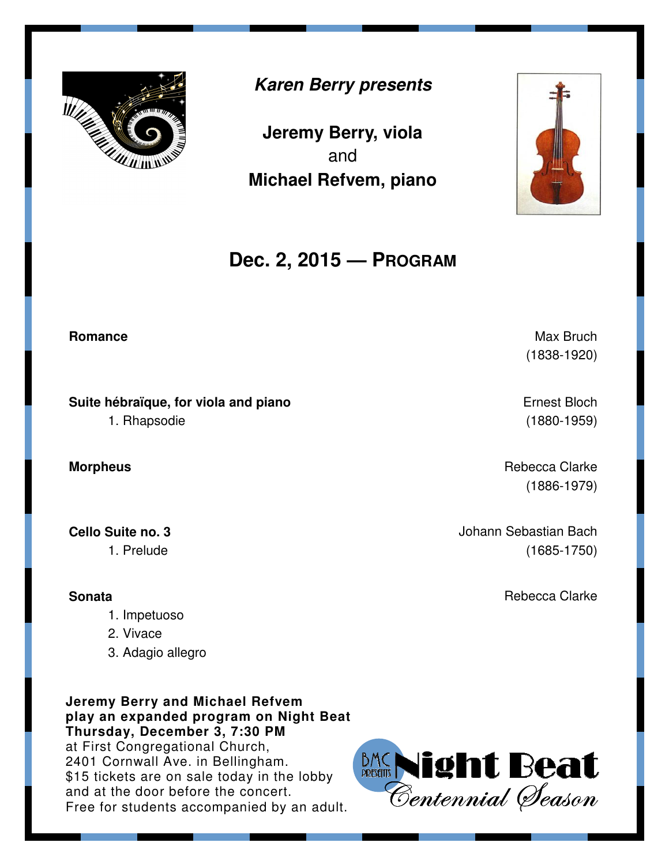

### **Karen Berry presents**

**Jeremy Berry, viola**  and **Michael Refvem, piano**



**Suite hébraïque, for viola and piano**  1. Rhapsodie

**Cello Suite no. 3**  1. Prelude

**Sonata** 

- 1. Impetuoso
- 2. Vivace
- 3. Adagio allegro

**Jeremy Berry and Michael Refvem play an expanded program on Night Beat Thursday, December 3, 7:30 PM**  at First Congregational Church, 2401 Cornwall Ave. in Bellingham. \$15 tickets are on sale today in the lobby and at the door before the concert. 2401 Cornwall Ave. in Bellingham.<br>\$15 tickets are on sale today in the lobby<br>and at the door before the concert.<br>Free for students accompanied by an adult. *Centennial (Deason* 





**Romance** Max Bruch **Romance** Max Bruch **Max Bruch Max Bruch** (1838-1920)

> Ernest Bloch (1880-1959)

**Morpheus Contract Contract Contract Contract Contract Contract Contract Contract Contract Contract Contract Contract Contract Contract Contract Contract Contract Contract Contract Contract Contract Contract Contract Con** (1886-1979)

> Johann Sebastian Bach (1685-1750)

> > Rebecca Clarke